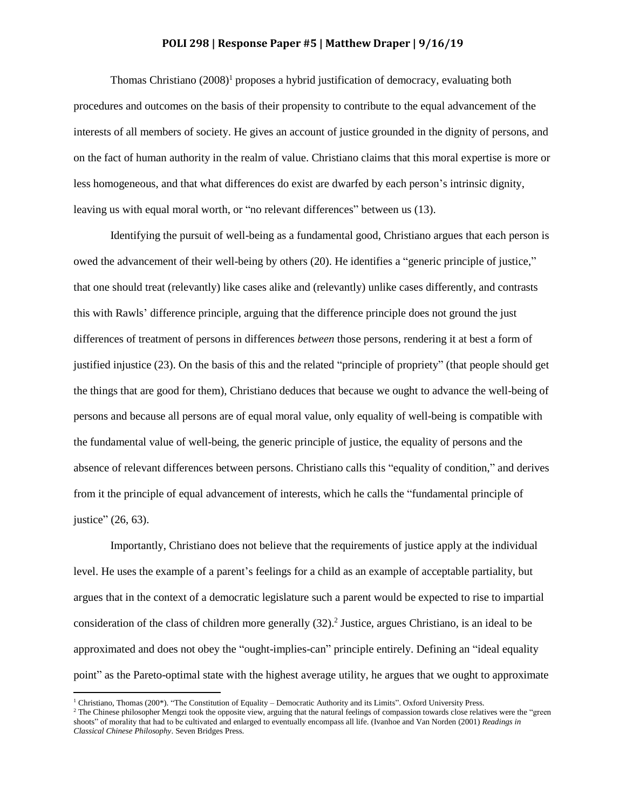## **POLI 298 | Response Paper #5 | Matthew Draper | 9/16/19**

Thomas Christiano  $(2008)^1$  proposes a hybrid justification of democracy, evaluating both procedures and outcomes on the basis of their propensity to contribute to the equal advancement of the interests of all members of society. He gives an account of justice grounded in the dignity of persons, and on the fact of human authority in the realm of value. Christiano claims that this moral expertise is more or less homogeneous, and that what differences do exist are dwarfed by each person's intrinsic dignity, leaving us with equal moral worth, or "no relevant differences" between us (13).

Identifying the pursuit of well-being as a fundamental good, Christiano argues that each person is owed the advancement of their well-being by others (20). He identifies a "generic principle of justice," that one should treat (relevantly) like cases alike and (relevantly) unlike cases differently, and contrasts this with Rawls' difference principle, arguing that the difference principle does not ground the just differences of treatment of persons in differences *between* those persons, rendering it at best a form of justified injustice (23). On the basis of this and the related "principle of propriety" (that people should get the things that are good for them), Christiano deduces that because we ought to advance the well-being of persons and because all persons are of equal moral value, only equality of well-being is compatible with the fundamental value of well-being, the generic principle of justice, the equality of persons and the absence of relevant differences between persons. Christiano calls this "equality of condition," and derives from it the principle of equal advancement of interests, which he calls the "fundamental principle of justice" (26, 63).

Importantly, Christiano does not believe that the requirements of justice apply at the individual level. He uses the example of a parent's feelings for a child as an example of acceptable partiality, but argues that in the context of a democratic legislature such a parent would be expected to rise to impartial consideration of the class of children more generally (32). 2 Justice, argues Christiano, is an ideal to be approximated and does not obey the "ought-implies-can" principle entirely. Defining an "ideal equality point" as the Pareto-optimal state with the highest average utility, he argues that we ought to approximate

l

<sup>1</sup> Christiano, Thomas (200\*). "The Constitution of Equality – Democratic Authority and its Limits". Oxford University Press.

<sup>&</sup>lt;sup>2</sup> The Chinese philosopher Mengzi took the opposite view, arguing that the natural feelings of compassion towards close relatives were the "green" shoots" of morality that had to be cultivated and enlarged to eventually encompass all life. (Ivanhoe and Van Norden (2001) *Readings in Classical Chinese Philosophy*. Seven Bridges Press.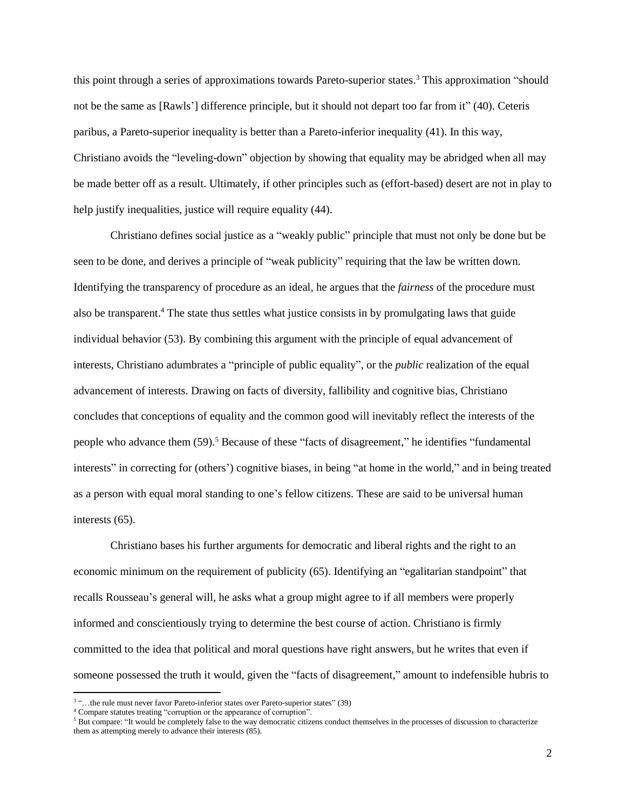this point through a series of approximations towards Pareto-superior states. <sup>3</sup> This approximation "should not be the same as [Rawls'] difference principle, but it should not depart too far from it" (40). Ceteris paribus, a Pareto-superior inequality is better than a Pareto-inferior inequality (41). In this way, Christiano avoids the "leveling-down" objection by showing that equality may be abridged when all may be made better off as a result. Ultimately, if other principles such as (effort-based) desert are not in play to help justify inequalities, justice will require equality (44).

Christiano defines social justice as a "weakly public" principle that must not only be done but be seen to be done, and derives a principle of "weak publicity" requiring that the law be written down. Identifying the transparency of procedure as an ideal, he argues that the *fairness* of the procedure must also be transparent. <sup>4</sup> The state thus settles what justice consists in by promulgating laws that guide individual behavior (53). By combining this argument with the principle of equal advancement of interests, Christiano adumbrates a "principle of public equality", or the *public* realization of the equal advancement of interests. Drawing on facts of diversity, fallibility and cognitive bias, Christiano concludes that conceptions of equality and the common good will inevitably reflect the interests of the people who advance them  $(59)$ .<sup>5</sup> Because of these "facts of disagreement," he identifies "fundamental" interests" in correcting for (others') cognitive biases, in being "at home in the world," and in being treated as a person with equal moral standing to one's fellow citizens. These are said to be universal human interests (65).

Christiano bases his further arguments for democratic and liberal rights and the right to an economic minimum on the requirement of publicity (65). Identifying an "egalitarian standpoint" that recalls Rousseau's general will, he asks what a group might agree to if all members were properly informed and conscientiously trying to determine the best course of action. Christiano is firmly committed to the idea that political and moral questions have right answers, but he writes that even if someone possessed the truth it would, given the "facts of disagreement," amount to indefensible hubris to

 3 "…the rule must never favor Pareto-inferior states over Pareto-superior states" (39)

<sup>4</sup> Compare statutes treating "corruption or the appearance of corruption".

<sup>5</sup> But compare: "It would be completely false to the way democratic citizens conduct themselves in the processes of discussion to characterize them as attempting merely to advance their interests (85).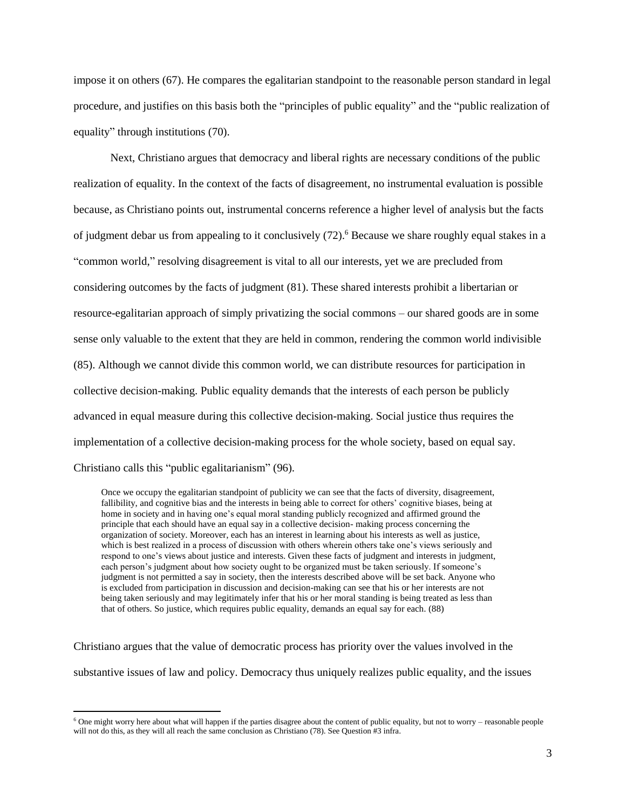impose it on others (67). He compares the egalitarian standpoint to the reasonable person standard in legal procedure, and justifies on this basis both the "principles of public equality" and the "public realization of equality" through institutions (70).

Next, Christiano argues that democracy and liberal rights are necessary conditions of the public realization of equality. In the context of the facts of disagreement, no instrumental evaluation is possible because, as Christiano points out, instrumental concerns reference a higher level of analysis but the facts of judgment debar us from appealing to it conclusively (72).<sup>6</sup> Because we share roughly equal stakes in a "common world," resolving disagreement is vital to all our interests, yet we are precluded from considering outcomes by the facts of judgment (81). These shared interests prohibit a libertarian or resource-egalitarian approach of simply privatizing the social commons – our shared goods are in some sense only valuable to the extent that they are held in common, rendering the common world indivisible (85). Although we cannot divide this common world, we can distribute resources for participation in collective decision-making. Public equality demands that the interests of each person be publicly advanced in equal measure during this collective decision-making. Social justice thus requires the implementation of a collective decision-making process for the whole society, based on equal say. Christiano calls this "public egalitarianism" (96).

Once we occupy the egalitarian standpoint of publicity we can see that the facts of diversity, disagreement, fallibility, and cognitive bias and the interests in being able to correct for others' cognitive biases, being at home in society and in having one's equal moral standing publicly recognized and affirmed ground the principle that each should have an equal say in a collective decision- making process concerning the organization of society. Moreover, each has an interest in learning about his interests as well as justice, which is best realized in a process of discussion with others wherein others take one's views seriously and respond to one's views about justice and interests. Given these facts of judgment and interests in judgment, each person's judgment about how society ought to be organized must be taken seriously. If someone's judgment is not permitted a say in society, then the interests described above will be set back. Anyone who is excluded from participation in discussion and decision-making can see that his or her interests are not being taken seriously and may legitimately infer that his or her moral standing is being treated as less than that of others. So justice, which requires public equality, demands an equal say for each. (88)

Christiano argues that the value of democratic process has priority over the values involved in the substantive issues of law and policy. Democracy thus uniquely realizes public equality, and the issues

 $\overline{\phantom{a}}$ 

 $6$  One might worry here about what will happen if the parties disagree about the content of public equality, but not to worry – reasonable people will not do this, as they will all reach the same conclusion as Christiano (78). See Question #3 infra.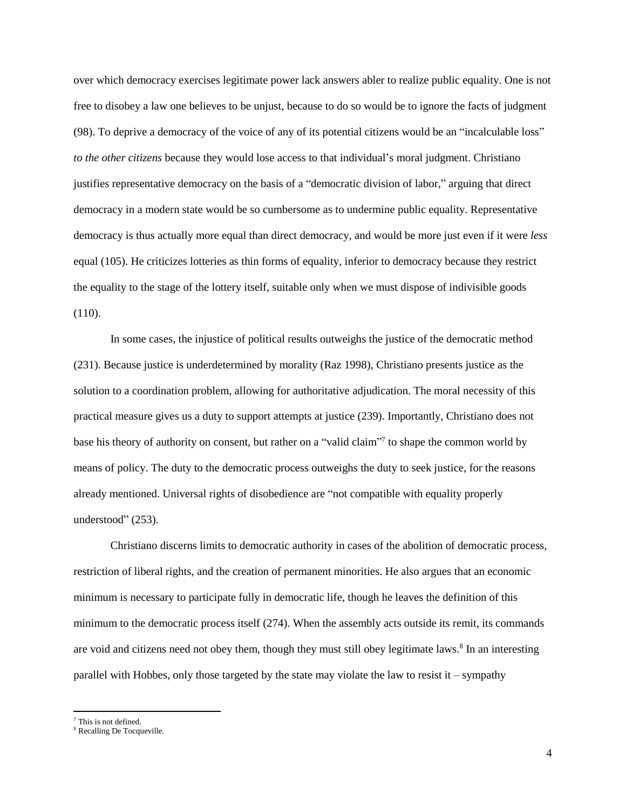over which democracy exercises legitimate power lack answers abler to realize public equality. One is not free to disobey a law one believes to be unjust, because to do so would be to ignore the facts of judgment (98). To deprive a democracy of the voice of any of its potential citizens would be an "incalculable loss" *to the other citizens* because they would lose access to that individual's moral judgment. Christiano justifies representative democracy on the basis of a "democratic division of labor," arguing that direct democracy in a modern state would be so cumbersome as to undermine public equality. Representative democracy is thus actually more equal than direct democracy, and would be more just even if it were *less*  equal (105). He criticizes lotteries as thin forms of equality, inferior to democracy because they restrict the equality to the stage of the lottery itself, suitable only when we must dispose of indivisible goods  $(110).$ 

In some cases, the injustice of political results outweighs the justice of the democratic method (231). Because justice is underdetermined by morality (Raz 1998), Christiano presents justice as the solution to a coordination problem, allowing for authoritative adjudication. The moral necessity of this practical measure gives us a duty to support attempts at justice (239). Importantly, Christiano does not base his theory of authority on consent, but rather on a "valid claim"<sup>7</sup> to shape the common world by means of policy. The duty to the democratic process outweighs the duty to seek justice, for the reasons already mentioned. Universal rights of disobedience are "not compatible with equality properly understood" (253).

Christiano discerns limits to democratic authority in cases of the abolition of democratic process, restriction of liberal rights, and the creation of permanent minorities. He also argues that an economic minimum is necessary to participate fully in democratic life, though he leaves the definition of this minimum to the democratic process itself (274). When the assembly acts outside its remit, its commands are void and citizens need not obey them, though they must still obey legitimate laws.<sup>8</sup> In an interesting parallel with Hobbes, only those targeted by the state may violate the law to resist it – sympathy

 $\overline{\phantom{a}}$ 

<sup>7</sup> This is not defined.

<sup>8</sup> Recalling De Tocqueville.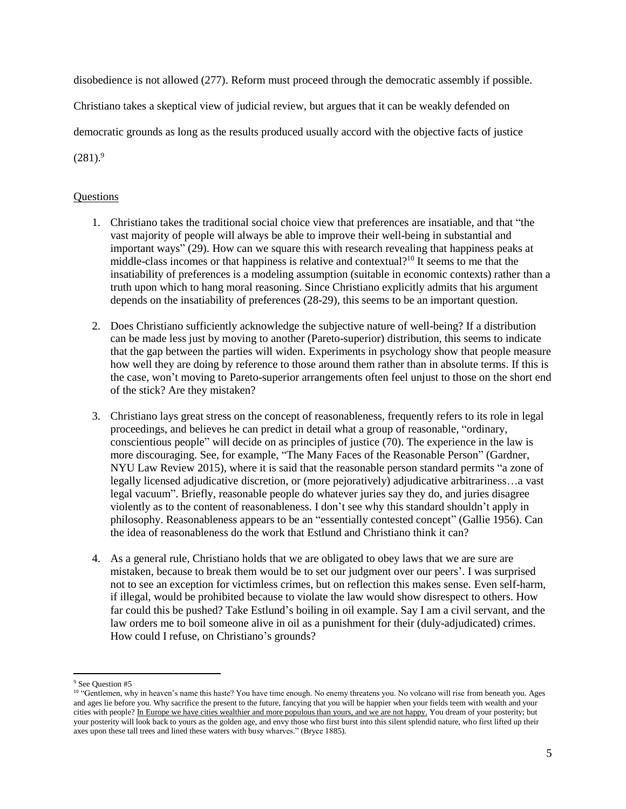disobedience is not allowed (277). Reform must proceed through the democratic assembly if possible.

Christiano takes a skeptical view of judicial review, but argues that it can be weakly defended on

democratic grounds as long as the results produced usually accord with the objective facts of justice

 $(281)^9$ 

## **Questions**

- 1. Christiano takes the traditional social choice view that preferences are insatiable, and that "the vast majority of people will always be able to improve their well-being in substantial and important ways" (29). How can we square this with research revealing that happiness peaks at middle-class incomes or that happiness is relative and contextual?<sup>10</sup> It seems to me that the insatiability of preferences is a modeling assumption (suitable in economic contexts) rather than a truth upon which to hang moral reasoning. Since Christiano explicitly admits that his argument depends on the insatiability of preferences (28-29), this seems to be an important question.
- 2. Does Christiano sufficiently acknowledge the subjective nature of well-being? If a distribution can be made less just by moving to another (Pareto-superior) distribution, this seems to indicate that the gap between the parties will widen. Experiments in psychology show that people measure how well they are doing by reference to those around them rather than in absolute terms. If this is the case, won't moving to Pareto-superior arrangements often feel unjust to those on the short end of the stick? Are they mistaken?
- 3. Christiano lays great stress on the concept of reasonableness, frequently refers to its role in legal proceedings, and believes he can predict in detail what a group of reasonable, "ordinary, conscientious people" will decide on as principles of justice (70). The experience in the law is more discouraging. See, for example, "The Many Faces of the Reasonable Person" (Gardner, NYU Law Review 2015), where it is said that the reasonable person standard permits "a zone of legally licensed adjudicative discretion, or (more pejoratively) adjudicative arbitrariness…a vast legal vacuum". Briefly, reasonable people do whatever juries say they do, and juries disagree violently as to the content of reasonableness. I don't see why this standard shouldn't apply in philosophy. Reasonableness appears to be an "essentially contested concept" (Gallie 1956). Can the idea of reasonableness do the work that Estlund and Christiano think it can?
- 4. As a general rule, Christiano holds that we are obligated to obey laws that we are sure are mistaken, because to break them would be to set our judgment over our peers'. I was surprised not to see an exception for victimless crimes, but on reflection this makes sense. Even self-harm, if illegal, would be prohibited because to violate the law would show disrespect to others. How far could this be pushed? Take Estlund's boiling in oil example. Say I am a civil servant, and the law orders me to boil someone alive in oil as a punishment for their (duly-adjudicated) crimes. How could I refuse, on Christiano's grounds?

l

<sup>9</sup> See Question #5

<sup>&</sup>lt;sup>10</sup> "Gentlemen, why in heaven's name this haste? You have time enough. No enemy threatens you. No volcano will rise from beneath you. Ages and ages lie before you. Why sacrifice the present to the future, fancying that you will be happier when your fields teem with wealth and your cities with people? In Europe we have cities wealthier and more populous than yours, and we are not happy. You dream of your posterity; but your posterity will look back to yours as the golden age, and envy those who first burst into this silent splendid nature, who first lifted up their axes upon these tall trees and lined these waters with busy wharves." (Bryce 1885).